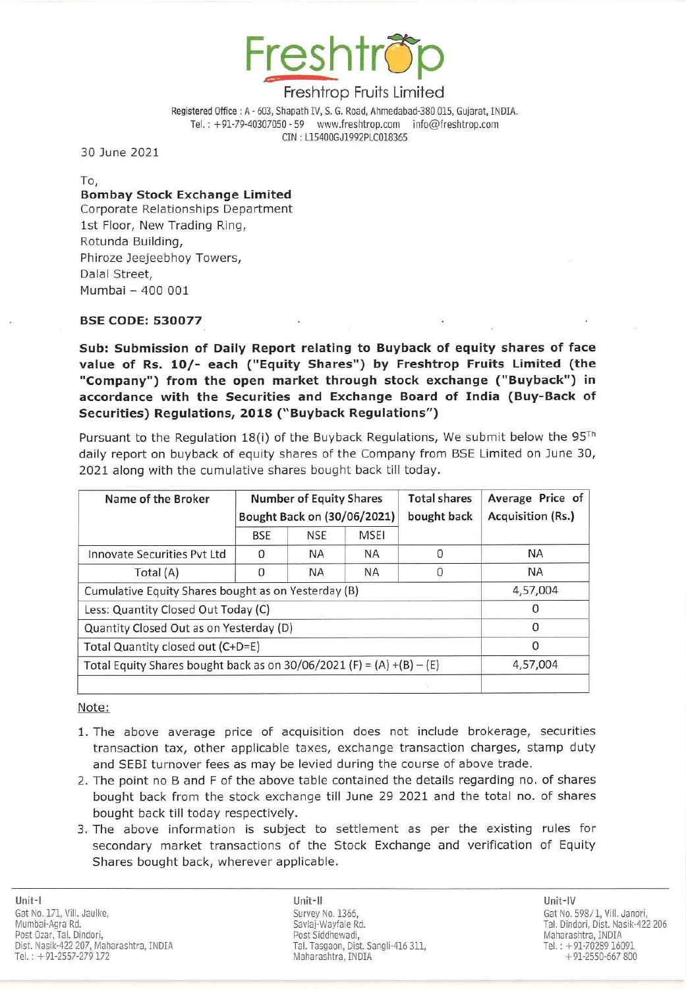

Registered Office : A - 603, Shapath IV, S. G. Road, Ahmedabad-380 015, Gujarat, INDIA. Tel. : + 91-79-40307050 - 59 www.freshtrop.com info@freshtrop.com eIN : L15400GJ1992PlC018365

30 June 2021

To,

## **Bombay Stock Exchange Limited**

Corporate Relationships Department 1st Floor, New Trading Ring, Rotunda Building, Phiroze Jeejeebhoy Towers, Dalal Street, Mumbai - 400 001

### SSE CODE: 530077

Sub: Submission of Daily Report relating to Buyback of equity shares of face value of Rs. 10/- each ("Equity Shares") by Freshtrop Fruits Limited (the "Company") from the open market through stock exchange ("Buyback") in accordance w ith the Securities and Ex change Board of India (Buy-Back of Securities) Regulations, 2018 ("Buyback Regulations")

Pursuant to the Regulation 18(i) of the Buyback Regulations, We submit below the  $95^{Th}$ daily report on buyback of equity shares of the Company from SSE limited on June 30, 2021 along with the cumulative shares bought back till today.

| Name of the Broker                                                    | <b>Number of Equity Shares</b><br>Bought Back on (30/06/2021) |            |             | <b>Total shares</b><br>bought back | Average Price of<br><b>Acquisition (Rs.)</b> |
|-----------------------------------------------------------------------|---------------------------------------------------------------|------------|-------------|------------------------------------|----------------------------------------------|
|                                                                       | <b>BSE</b>                                                    | <b>NSE</b> | <b>MSEI</b> |                                    |                                              |
| Innovate Securities Pyt Ltd                                           | 0                                                             | <b>NA</b>  | <b>NA</b>   | 0                                  | <b>NA</b>                                    |
| Total (A)                                                             | 0                                                             | <b>NA</b>  | <b>NA</b>   | 0                                  | <b>NA</b>                                    |
| Cumulative Equity Shares bought as on Yesterday (B)                   |                                                               |            |             |                                    | 4,57,004                                     |
| Less: Quantity Closed Out Today (C)                                   |                                                               |            |             |                                    |                                              |
| Quantity Closed Out as on Yesterday (D)                               |                                                               |            |             |                                    | $\Omega$                                     |
| Total Quantity closed out (C+D=E)                                     |                                                               |            |             |                                    | 0                                            |
| Total Equity Shares bought back as on 30/06/2021 (F) = (A) +(B) - (E) | 4,57,004                                                      |            |             |                                    |                                              |
|                                                                       |                                                               |            |             |                                    |                                              |

#### Note:

- 1. The above average price of acquisition does not include brokerage, securities transaction tax, other applicable taxes, exchange transaction charges, stamp duty and SEBI turnover fees as may be levied during the course of above trade.
- 2. The point no Band F of the above table contained the details regarding no. of shares bought back from the stock exchange till June 29 2021 and the total no. of shares bought back till today respectively.
- 3. The above information is subject to settlement as per the existing rules for secondary market transactions of the Stock Exchange and verification of Equity Shares bought back, wherever applicable.

Unit-Ii Unit-IV Survey No. 1366, Savlaj-Wayfale Rd. Post Siddhewadi, Tal. Tasgaon, Dist. 5angli-416 311, Maharashtra, INDIA